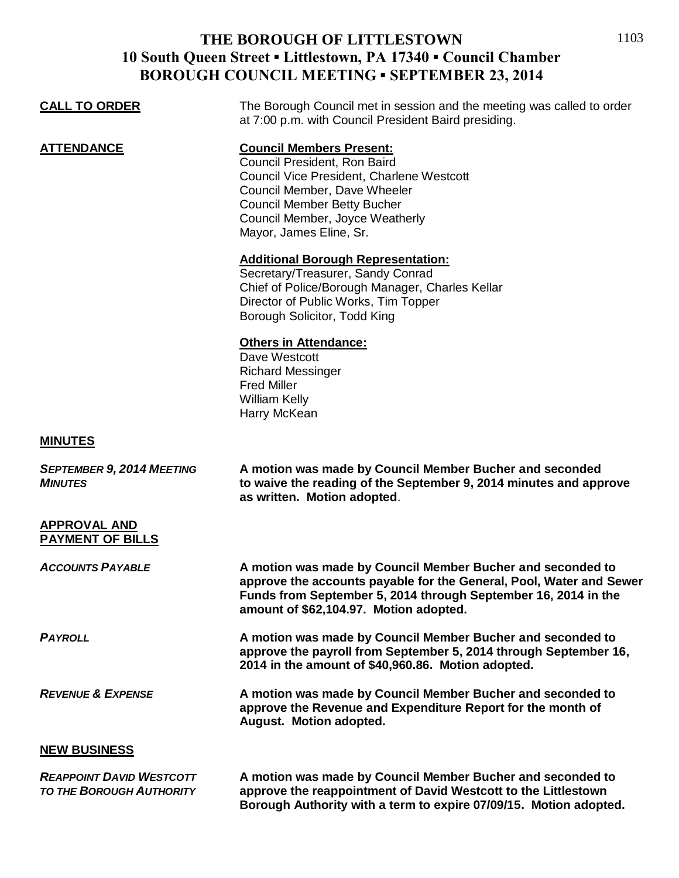## **THE BOROUGH OF LITTLESTOWN 10 South Queen Street ▪ Littlestown, PA 17340 ▪ Council Chamber BOROUGH COUNCIL MEETING ▪ SEPTEMBER 23, 2014**

| <b>CALL TO ORDER</b>                                               | The Borough Council met in session and the meeting was called to order<br>at 7:00 p.m. with Council President Baird presiding.                                                                                                                   |
|--------------------------------------------------------------------|--------------------------------------------------------------------------------------------------------------------------------------------------------------------------------------------------------------------------------------------------|
| <b>ATTENDANCE</b>                                                  | <b>Council Members Present:</b><br>Council President, Ron Baird<br>Council Vice President, Charlene Westcott<br>Council Member, Dave Wheeler<br><b>Council Member Betty Bucher</b><br>Council Member, Joyce Weatherly<br>Mayor, James Eline, Sr. |
|                                                                    | <b>Additional Borough Representation:</b><br>Secretary/Treasurer, Sandy Conrad<br>Chief of Police/Borough Manager, Charles Kellar<br>Director of Public Works, Tim Topper<br>Borough Solicitor, Todd King                                        |
|                                                                    | <b>Others in Attendance:</b><br>Dave Westcott<br><b>Richard Messinger</b><br><b>Fred Miller</b><br><b>William Kelly</b><br>Harry McKean                                                                                                          |
| <b>MINUTES</b>                                                     |                                                                                                                                                                                                                                                  |
| <b>SEPTEMBER 9, 2014 MEETING</b><br><b>MINUTES</b>                 | A motion was made by Council Member Bucher and seconded<br>to waive the reading of the September 9, 2014 minutes and approve<br>as written. Motion adopted.                                                                                      |
| <b>APPROVAL AND</b><br><b>PAYMENT OF BILLS</b>                     |                                                                                                                                                                                                                                                  |
| <b>ACCOUNTS PAYABLE</b>                                            | A motion was made by Council Member Bucher and seconded to<br>approve the accounts payable for the General, Pool, Water and Sewer<br>Funds from September 5, 2014 through September 16, 2014 in the<br>amount of \$62,104.97. Motion adopted.    |
| <b>PAYROLL</b>                                                     | A motion was made by Council Member Bucher and seconded to<br>approve the payroll from September 5, 2014 through September 16,<br>2014 in the amount of \$40,960.86. Motion adopted.                                                             |
| <b>REVENUE &amp; EXPENSE</b>                                       | A motion was made by Council Member Bucher and seconded to<br>approve the Revenue and Expenditure Report for the month of<br>August. Motion adopted.                                                                                             |
| <b>NEW BUSINESS</b>                                                |                                                                                                                                                                                                                                                  |
| <b>REAPPOINT DAVID WESTCOTT</b><br><b>TO THE BOROUGH AUTHORITY</b> | A motion was made by Council Member Bucher and seconded to<br>approve the reappointment of David Westcott to the Littlestown<br>Borough Authority with a term to expire 07/09/15. Motion adopted.                                                |